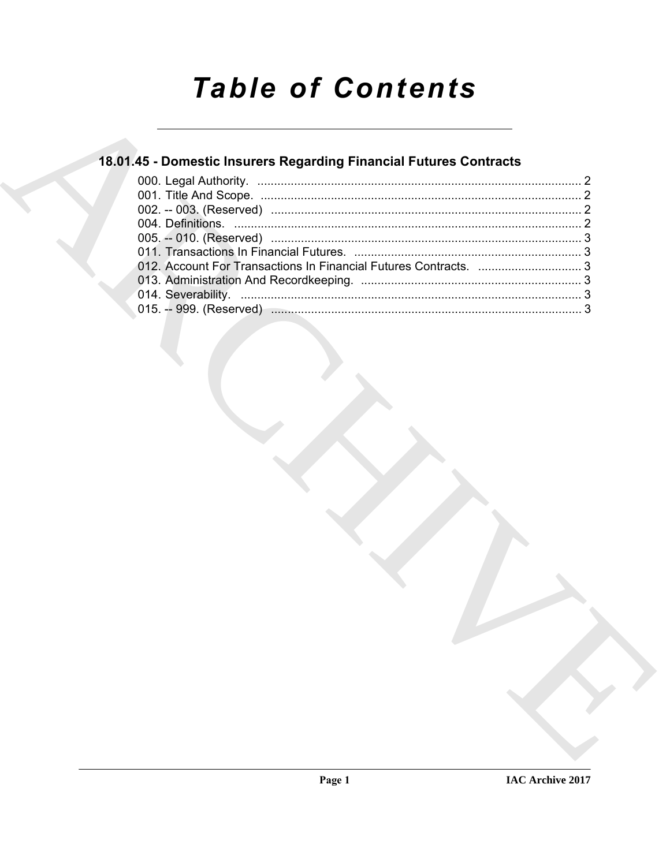# **Table of Contents**

## 18.01.45 - Domestic Insurers Regarding Financial Futures Contracts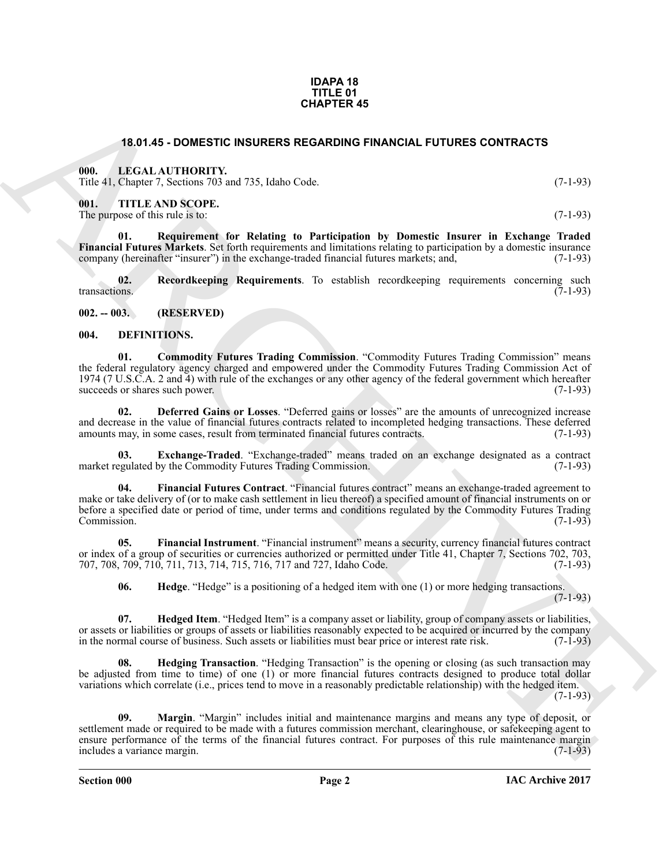#### **IDAPA 18 TITLE 01 CHAPTER 45**

#### **18.01.45 - DOMESTIC INSURERS REGARDING FINANCIAL FUTURES CONTRACTS**

#### <span id="page-1-1"></span><span id="page-1-0"></span>**000. LEGAL AUTHORITY.**

Title 41, Chapter 7, Sections 703 and 735, Idaho Code. (7-1-93)

<span id="page-1-2"></span>**001. TITLE AND SCOPE.**

The purpose of this rule is to: (7-1-93)

<span id="page-1-16"></span>**01. Requirement for Relating to Participation by Domestic Insurer in Exchange Traded Financial Futures Markets**. Set forth requirements and limitations relating to participation by a domestic insurance company (hereinafter "insurer") in the exchange-traded financial futures markets; and, (7-1-93) company (hereinafter "insurer") in the exchange-traded financial futures markets; and,

<span id="page-1-15"></span>**02.** Recordkeeping Requirements. To establish recordkeeping requirements concerning such transactions. (7-1-93) transactions. (7-1-93)

<span id="page-1-3"></span>**002. -- 003. (RESERVED)**

#### <span id="page-1-5"></span><span id="page-1-4"></span>**004. DEFINITIONS.**

<span id="page-1-6"></span>**01. Commodity Futures Trading Commission**. "Commodity Futures Trading Commission" means the federal regulatory agency charged and empowered under the Commodity Futures Trading Commission Act of 1974 (7 U.S.C.A. 2 and 4) with rule of the exchanges or any other agency of the federal government which hereafter succeeds or shares such power.

<span id="page-1-7"></span>**02. Deferred Gains or Losses**. "Deferred gains or losses" are the amounts of unrecognized increase and decrease in the value of financial futures contracts related to incompleted hedging transactions. These deferred amounts may, in some cases, result from terminated financial futures contracts. (7-1-93) amounts may, in some cases, result from terminated financial futures contracts.

<span id="page-1-8"></span>**Exchange-Traded**. "Exchange-traded" means traded on an exchange designated as a contract market regulated by the Commodity Futures Trading Commission. (7-1-93)

<span id="page-1-9"></span>**04. Financial Futures Contract**. "Financial futures contract" means an exchange-traded agreement to make or take delivery of (or to make cash settlement in lieu thereof) a specified amount of financial instruments on or before a specified date or period of time, under terms and conditions regulated by the Commodity Futures Trading Commission. (7-1-93) Commission. (7-1-93)

**05. Financial Instrument**. "Financial instrument" means a security, currency financial futures contract or index of a group of securities or currencies authorized or permitted under Title 41, Chapter 7, Sections 702, 703, 707, 708, 709, 710, 711, 713, 714, 715, 716, 717 and 727, Idaho Code. (7-1-93) 707, 708, 709, 710, 711, 713, 714, 715, 716, 717 and 727, Idaho Code.

<span id="page-1-13"></span><span id="page-1-12"></span><span id="page-1-11"></span><span id="page-1-10"></span>**06.** Hedge. "Hedge" is a positioning of a hedged item with one (1) or more hedging transactions.  $(7-1-93)$ 

**07. Hedged Item**. "Hedged Item" is a company asset or liability, group of company assets or liabilities, or assets or liabilities or groups of assets or liabilities reasonably expected to be acquired or incurred by the company<br>in the normal course of business. Such assets or liabilities must bear price or interest rate risk. in the normal course of business. Such assets or liabilities must bear price or interest rate risk.

<span id="page-1-14"></span>**Hedging Transaction**. "Hedging Transaction" is the opening or closing (as such transaction may be adjusted from time to time) of one (1) or more financial futures contracts designed to produce total dollar variations which correlate (i.e., prices tend to move in a reasonably predictable relationship) with the hedged item.  $(7-1-93)$ 

**16.01.45 - DOMESTIC INSURENCES SECONDONG FINANCIAL FUTURES CONTRACTS<br>
SURFACT LONGAL AVETHOMITY<br>
THE ALTHOLONEY CONTRACTS (SEE AND COME)<br>
THE METHOD SCOTTE.<br>
THE ARCHIVES SCOTTE.<br>
THE ARCHIVES SCOTTE.<br>
THE ARCHIVES SCOTT 09. Margin**. "Margin" includes initial and maintenance margins and means any type of deposit, or settlement made or required to be made with a futures commission merchant, clearinghouse, or safekeeping agent to ensure performance of the terms of the financial futures contract. For purposes of this rule maintenance margin includes a variance margin. (7-1-93) includes a variance margin.

**Section 000 Page 2**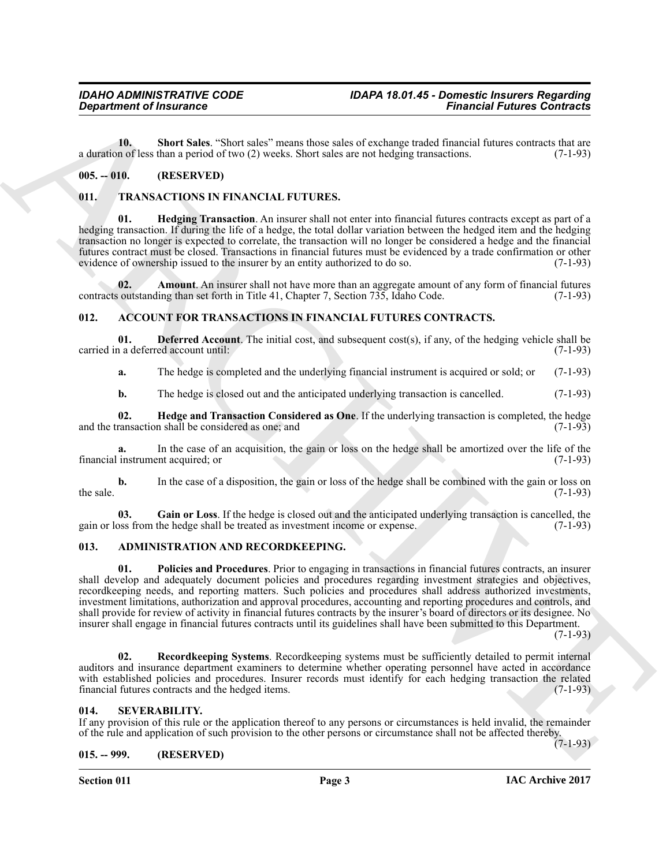<span id="page-2-13"></span>**10.** Short Sales. "Short sales" means those sales of exchange traded financial futures contracts that are n of less than a period of two (2) weeks. Short sales are not hedging transactions. (7-1-93) a duration of less than a period of two (2) weeks. Short sales are not hedging transactions.

#### <span id="page-2-0"></span>**005. -- 010. (RESERVED)**

#### <span id="page-2-16"></span><span id="page-2-14"></span><span id="page-2-1"></span>**011. TRANSACTIONS IN FINANCIAL FUTURES.**

**Hedging Transaction**. An insurer shall not enter into financial futures contracts except as part of a hedging transaction. If during the life of a hedge, the total dollar variation between the hedged item and the hedging transaction no longer is expected to correlate, the transaction will no longer be considered a hedge and the financial futures contract must be closed. Transactions in financial futures must be evidenced by a trade confirmation or other evidence of ownership issued to the insurer by an entity authorized to do so.

<span id="page-2-15"></span>**02.** Amount. An insurer shall not have more than an aggregate amount of any form of financial futures contracts outstanding than set forth in Title 41, Chapter 7, Section 735, Idaho Code. (7-1-93)

#### <span id="page-2-6"></span><span id="page-2-2"></span>**012. ACCOUNT FOR TRANSACTIONS IN FINANCIAL FUTURES CONTRACTS.**

**01. Deferred Account**. The initial cost, and subsequent cost(s), if any, of the hedging vehicle shall be n a deferred account until: (7-1-93) carried in a deferred account until:

<span id="page-2-7"></span>**a.** The hedge is completed and the underlying financial instrument is acquired or sold; or (7-1-93)

<span id="page-2-9"></span>**b.** The hedge is closed out and the anticipated underlying transaction is cancelled. (7-1-93)

**02.** Hedge and Transaction Considered as One. If the underlying transaction is completed, the hedge ransaction shall be considered as one; and (7-1-93) and the transaction shall be considered as one; and

**a.** In the case of an acquisition, the gain or loss on the hedge shall be amortized over the life of the instrument acquired: or (7-1-93) financial instrument acquired; or

**b.** In the case of a disposition, the gain or loss of the hedge shall be combined with the gain or loss on the sale.  $(7-1-93)$ 

<span id="page-2-8"></span>**03.** Gain or Loss. If the hedge is closed out and the anticipated underlying transaction is cancelled, the bedge shall be treated as investment income or expense. (7-1-93) gain or loss from the hedge shall be treated as investment income or expense.

#### <span id="page-2-11"></span><span id="page-2-10"></span><span id="page-2-3"></span>**013. ADMINISTRATION AND RECORDKEEPING.**

*Considered of Insurance*<br> **ARCHIVES THE VALUE TO THE CONSERVATION CONSERVATION CONSERVATION (EXCEPT) THE CONSERVATION CONSERVATION CONSERVATION CONSERVATION (EXCEPT)<br>
<b>CONSERVATION** CONSERVATION CONSERVATION CONSERVATI **01. Policies and Procedures**. Prior to engaging in transactions in financial futures contracts, an insurer shall develop and adequately document policies and procedures regarding investment strategies and objectives, recordkeeping needs, and reporting matters. Such policies and procedures shall address authorized investments, investment limitations, authorization and approval procedures, accounting and reporting procedures and controls, and shall provide for review of activity in financial futures contracts by the insurer's board of directors or its designee. No insurer shall engage in financial futures contracts until its guidelines shall have been submitted to this Department.

 $(7-1-93)$ 

(7-1-93)

<span id="page-2-12"></span>**02. Recordkeeping Systems**. Recordkeeping systems must be sufficiently detailed to permit internal auditors and insurance department examiners to determine whether operating personnel have acted in accordance with established policies and procedures. Insurer records must identify for each hedging transaction the related financial futures contracts and the hedged items. (7-1-93)

#### <span id="page-2-4"></span>**014. SEVERABILITY.**

If any provision of this rule or the application thereof to any persons or circumstances is held invalid, the remainder of the rule and application of such provision to the other persons or circumstance shall not be affected thereby.

#### <span id="page-2-5"></span>**015. -- 999. (RESERVED)**

**Section 011 Page 3**